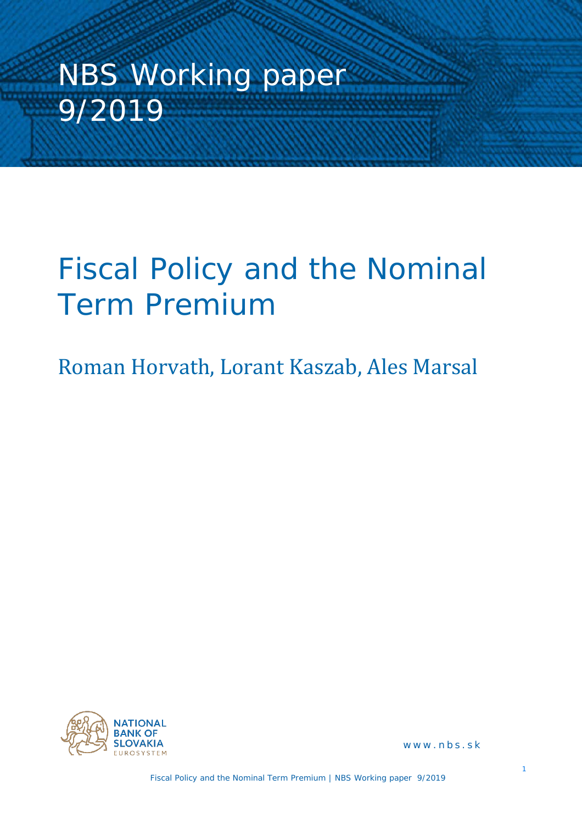# NBS Working paper 9/2019

## Fiscal Policy and the Nominal Term Premium

## Roman Horvath, Lorant Kaszab, Ales Marsal



www.nbs.sk

Fiscal Policy and the Nominal Term Premium | NBS Working paper 9/2019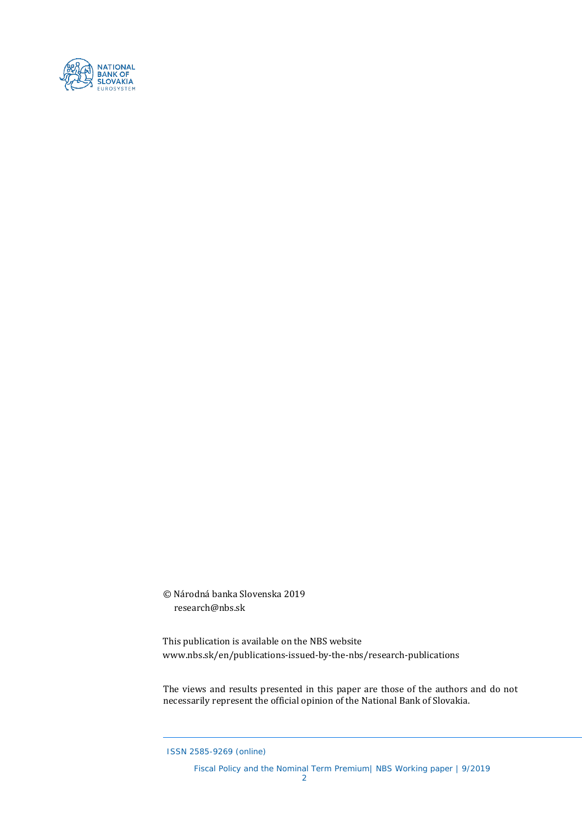

© Národná banka Slovenska 2019 research@nbs.sk

This publication is available on the NBS website www.nbs.sk/en/publications-issued-by-the-nbs/research-publications

The views and results presented in this paper are those of the authors and do not necessarily represent the official opinion of the National Bank of Slovakia.

ISSN 2585-9269 (online)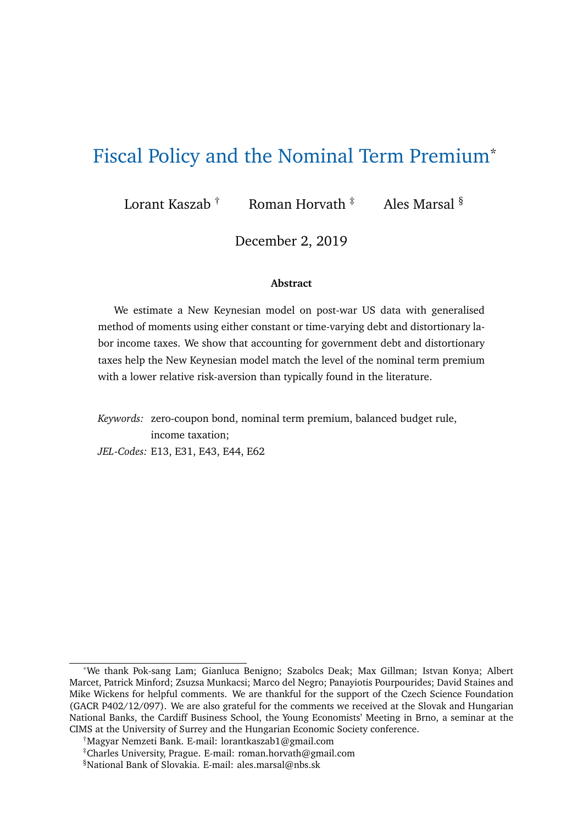## Fiscal Policy and the Nominal Term Premium\*

Lorant Kaszab † Roman Horvath  $\frac{1}{4}$  Ales Marsal  $\frac{8}{1}$ 

December 2, 2019

#### **Abstract**

We estimate a New Keynesian model on post-war US data with generalised method of moments using either constant or time-varying debt and distortionary labor income taxes. We show that accounting for government debt and distortionary taxes help the New Keynesian model match the level of the nominal term premium with a lower relative risk-aversion than typically found in the literature.

*Keywords:* zero-coupon bond, nominal term premium, balanced budget rule, income taxation; *JEL-Codes:* E13, E31, E43, E44, E62

<sup>\*</sup>We thank Pok-sang Lam; Gianluca Benigno; Szabolcs Deak; Max Gillman; Istvan Konya; Albert Marcet, Patrick Minford; Zsuzsa Munkacsi; Marco del Negro; Panayiotis Pourpourides; David Staines and Mike Wickens for helpful comments. We are thankful for the support of the Czech Science Foundation (GACR P402/12/097). We are also grateful for the comments we received at the Slovak and Hungarian National Banks, the Cardiff Business School, the Young Economists' Meeting in Brno, a seminar at the CIMS at the University of Surrey and the Hungarian Economic Society conference.

<sup>†</sup>Magyar Nemzeti Bank. E-mail: lorantkaszab1@gmail.com

<sup>‡</sup>Charles University, Prague. E-mail: roman.horvath@gmail.com

<sup>§</sup>National Bank of Slovakia. E-mail: ales.marsal@nbs.sk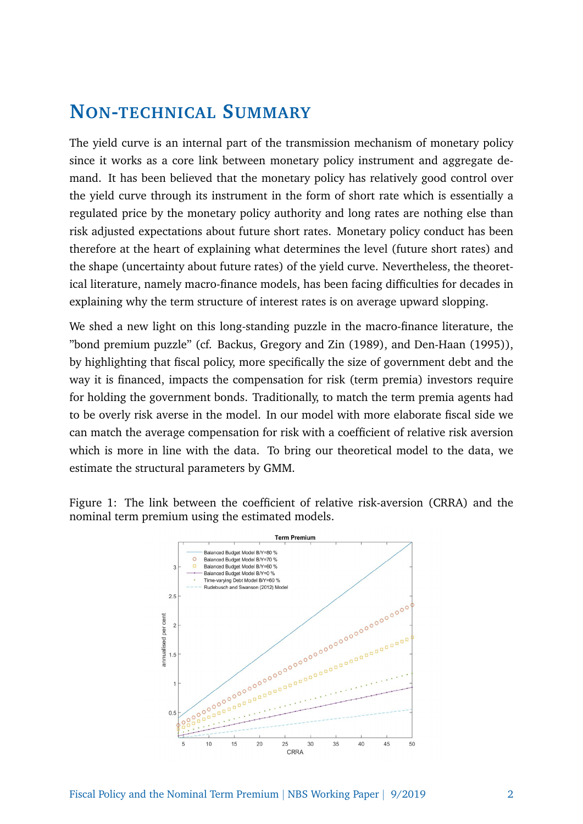## **NON-TECHNICAL SUMMARY**

The yield curve is an internal part of the transmission mechanism of monetary policy since it works as a core link between monetary policy instrument and aggregate demand. It has been believed that the monetary policy has relatively good control over the yield curve through its instrument in the form of short rate which is essentially a regulated price by the monetary policy authority and long rates are nothing else than risk adjusted expectations about future short rates. Monetary policy conduct has been therefore at the heart of explaining what determines the level (future short rates) and the shape (uncertainty about future rates) of the yield curve. Nevertheless, the theoretical literature, namely macro-finance models, has been facing difficulties for decades in explaining why the term structure of interest rates is on average upward slopping.

We shed a new light on this long-standing puzzle in the macro-finance literature, the "bond premium puzzle" (cf. Backus, Gregory and Zin (1989), and Den-Haan (1995)), by highlighting that fiscal policy, more specifically the size of government debt and the way it is financed, impacts the compensation for risk (term premia) investors require for holding the government bonds. Traditionally, to match the term premia agents had to be overly risk averse in the model. In our model with more elaborate fiscal side we can match the average compensation for risk with a coefficient of relative risk aversion which is more in line with the data. To bring our theoretical model to the data, we estimate the structural parameters by GMM.

Figure 1: The link between the coefficient of relative risk-aversion (CRRA) and the nominal term premium using the estimated models.

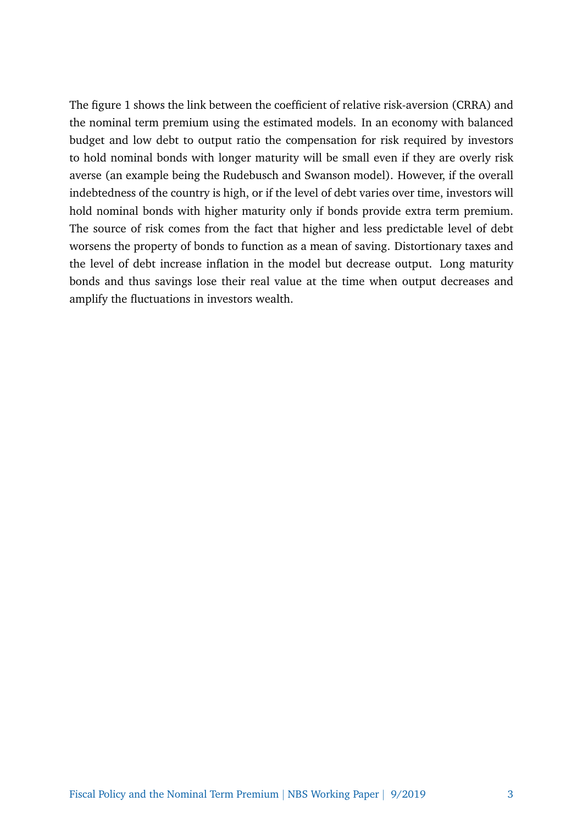The figure 1 shows the link between the coefficient of relative risk-aversion (CRRA) and the nominal term premium using the estimated models. In an economy with balanced budget and low debt to output ratio the compensation for risk required by investors to hold nominal bonds with longer maturity will be small even if they are overly risk averse (an example being the Rudebusch and Swanson model). However, if the overall indebtedness of the country is high, or if the level of debt varies over time, investors will hold nominal bonds with higher maturity only if bonds provide extra term premium. The source of risk comes from the fact that higher and less predictable level of debt worsens the property of bonds to function as a mean of saving. Distortionary taxes and the level of debt increase inflation in the model but decrease output. Long maturity bonds and thus savings lose their real value at the time when output decreases and amplify the fluctuations in investors wealth.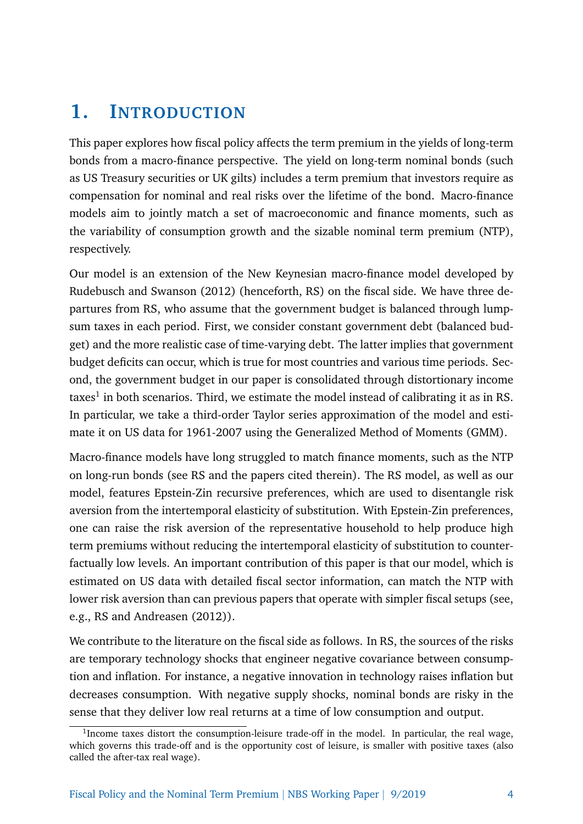## **1. INTRODUCTION**

This paper explores how fiscal policy affects the term premium in the yields of long-term bonds from a macro-finance perspective. The yield on long-term nominal bonds (such as US Treasury securities or UK gilts) includes a term premium that investors require as compensation for nominal and real risks over the lifetime of the bond. Macro-finance models aim to jointly match a set of macroeconomic and finance moments, such as the variability of consumption growth and the sizable nominal term premium (NTP), respectively.

Our model is an extension of the New Keynesian macro-finance model developed by Rudebusch and Swanson (2012) (henceforth, RS) on the fiscal side. We have three departures from RS, who assume that the government budget is balanced through lumpsum taxes in each period. First, we consider constant government debt (balanced budget) and the more realistic case of time-varying debt. The latter implies that government budget deficits can occur, which is true for most countries and various time periods. Second, the government budget in our paper is consolidated through distortionary income taxes<sup>1</sup> in both scenarios. Third, we estimate the model instead of calibrating it as in RS. In particular, we take a third-order Taylor series approximation of the model and estimate it on US data for 1961-2007 using the Generalized Method of Moments (GMM).

Macro-finance models have long struggled to match finance moments, such as the NTP on long-run bonds (see RS and the papers cited therein). The RS model, as well as our model, features Epstein-Zin recursive preferences, which are used to disentangle risk aversion from the intertemporal elasticity of substitution. With Epstein-Zin preferences, one can raise the risk aversion of the representative household to help produce high term premiums without reducing the intertemporal elasticity of substitution to counterfactually low levels. An important contribution of this paper is that our model, which is estimated on US data with detailed fiscal sector information, can match the NTP with lower risk aversion than can previous papers that operate with simpler fiscal setups (see, e.g., RS and Andreasen (2012)).

We contribute to the literature on the fiscal side as follows. In RS, the sources of the risks are temporary technology shocks that engineer negative covariance between consumption and inflation. For instance, a negative innovation in technology raises inflation but decreases consumption. With negative supply shocks, nominal bonds are risky in the sense that they deliver low real returns at a time of low consumption and output.

<sup>&</sup>lt;sup>1</sup>Income taxes distort the consumption-leisure trade-off in the model. In particular, the real wage, which governs this trade-off and is the opportunity cost of leisure, is smaller with positive taxes (also called the after-tax real wage).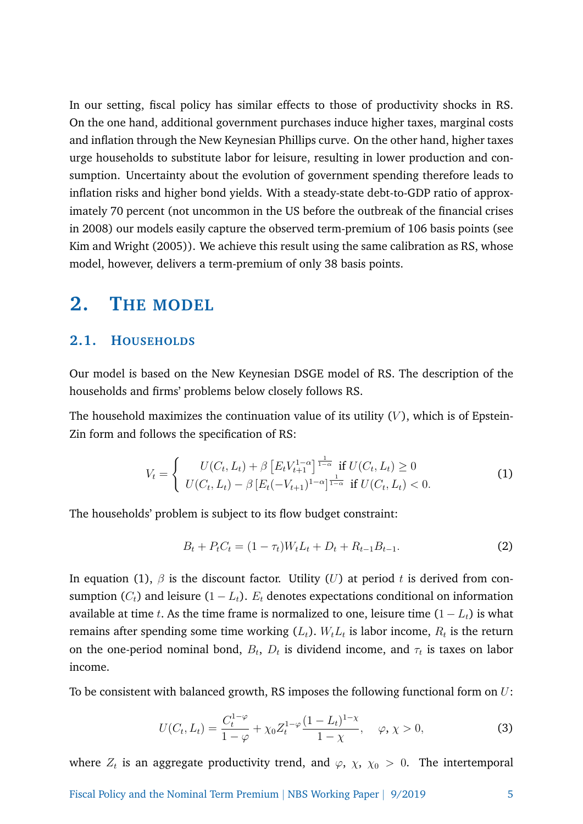In our setting, fiscal policy has similar effects to those of productivity shocks in RS. On the one hand, additional government purchases induce higher taxes, marginal costs and inflation through the New Keynesian Phillips curve. On the other hand, higher taxes urge households to substitute labor for leisure, resulting in lower production and consumption. Uncertainty about the evolution of government spending therefore leads to inflation risks and higher bond yields. With a steady-state debt-to-GDP ratio of approximately 70 percent (not uncommon in the US before the outbreak of the financial crises in 2008) our models easily capture the observed term-premium of 106 basis points (see Kim and Wright (2005)). We achieve this result using the same calibration as RS, whose model, however, delivers a term-premium of only 38 basis points.

#### **2. THE MODEL**

#### **2.1. HOUSEHOLDS**

Our model is based on the New Keynesian DSGE model of RS. The description of the households and firms' problems below closely follows RS.

The household maximizes the continuation value of its utility  $(V)$ , which is of Epstein-Zin form and follows the specification of RS:

$$
V_t = \begin{cases} U(C_t, L_t) + \beta \left[ E_t V_{t+1}^{1-\alpha} \right]^{\frac{1}{1-\alpha}} \text{ if } U(C_t, L_t) \ge 0\\ U(C_t, L_t) - \beta \left[ E_t (-V_{t+1})^{1-\alpha} \right]^{\frac{1}{1-\alpha}} \text{ if } U(C_t, L_t) < 0. \end{cases}
$$
(1)

The households' problem is subject to its flow budget constraint:

$$
B_t + P_t C_t = (1 - \tau_t)W_t L_t + D_t + R_{t-1} B_{t-1}.
$$
\n(2)

In equation (1),  $\beta$  is the discount factor. Utility (U) at period t is derived from consumption  $(C_t)$  and leisure  $(1 - L_t)$ .  $E_t$  denotes expectations conditional on information available at time t. As the time frame is normalized to one, leisure time  $(1 - L_t)$  is what remains after spending some time working  $(L_t)$ .  $W_tL_t$  is labor income,  $R_t$  is the return on the one-period nominal bond,  $B_t$ ,  $D_t$  is dividend income, and  $\tau_t$  is taxes on labor income.

To be consistent with balanced growth, RS imposes the following functional form on  $U$ :

$$
U(C_t, L_t) = \frac{C_t^{1-\varphi}}{1-\varphi} + \chi_0 Z_t^{1-\varphi} \frac{(1-L_t)^{1-\chi}}{1-\chi}, \quad \varphi, \chi > 0,
$$
 (3)

where  $Z_t$  is an aggregate productivity trend, and  $\varphi, \ \chi, \ \chi_0 \ > \ 0.$  The intertemporal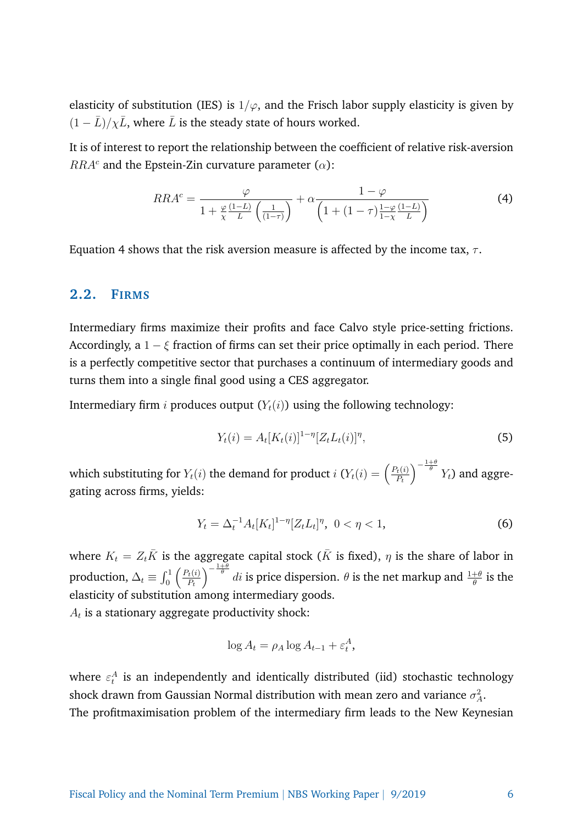elasticity of substitution (IES) is  $1/\varphi$ , and the Frisch labor supply elasticity is given by  $(1 - \bar{L})/\chi\bar{L}$ , where  $\bar{L}$  is the steady state of hours worked.

It is of interest to report the relationship between the coefficient of relative risk-aversion  $RRA<sup>c</sup>$  and the Epstein-Zin curvature parameter ( $\alpha$ ):

$$
RRA^{c} = \frac{\varphi}{1 + \frac{\varphi}{\chi} \frac{(1-L)}{L} \left(\frac{1}{(1-\tau)}\right)} + \alpha \frac{1-\varphi}{\left(1 + (1-\tau)\frac{1-\varphi}{1-\chi} \frac{(1-L)}{L}\right)}
$$
(4)

Equation 4 shows that the risk aversion measure is affected by the income tax,  $\tau$ .

#### **2.2. FIRMS**

Intermediary firms maximize their profits and face Calvo style price-setting frictions. Accordingly, a  $1 - \xi$  fraction of firms can set their price optimally in each period. There is a perfectly competitive sector that purchases a continuum of intermediary goods and turns them into a single final good using a CES aggregator.

Intermediary firm *i* produces output  $(Y_t(i))$  using the following technology:

$$
Y_t(i) = A_t[K_t(i)]^{1-\eta} [Z_t L_t(i)]^{\eta},\tag{5}
$$

which substituting for  $Y_t(i)$  the demand for product  $i$   $(Y_t(i) = \left(\frac{P_t(i)}{P_t}\right)^T$  $P_t$  $\int_{0}^{-\frac{1+\theta}{\theta}} Y_t$  and aggregating across firms, yields:

$$
Y_t = \Delta_t^{-1} A_t [K_t]^{1-\eta} [Z_t L_t]^{\eta}, \ 0 < \eta < 1,\tag{6}
$$

where  $K_t = Z_t \overline{K}$  is the aggregate capital stock ( $\overline{K}$  is fixed),  $\eta$  is the share of labor in production,  $\Delta_t \equiv \int_0^1 \left( \frac{P_t(i)}{P_t} \right)$  $P_t$  $\int_{0}^{-\frac{1+\theta}{\theta}} di$  is price dispersion.  $\theta$  is the net markup and  $\frac{1+\theta}{\theta}$  is the elasticity of substitution among intermediary goods.

 $A_t$  is a stationary aggregate productivity shock:

$$
\log A_t = \rho_A \log A_{t-1} + \varepsilon_t^A,
$$

where  $\varepsilon_t^A$  is an independently and identically distributed (iid) stochastic technology shock drawn from Gaussian Normal distribution with mean zero and variance  $\sigma_A^2$ . The profitmaximisation problem of the intermediary firm leads to the New Keynesian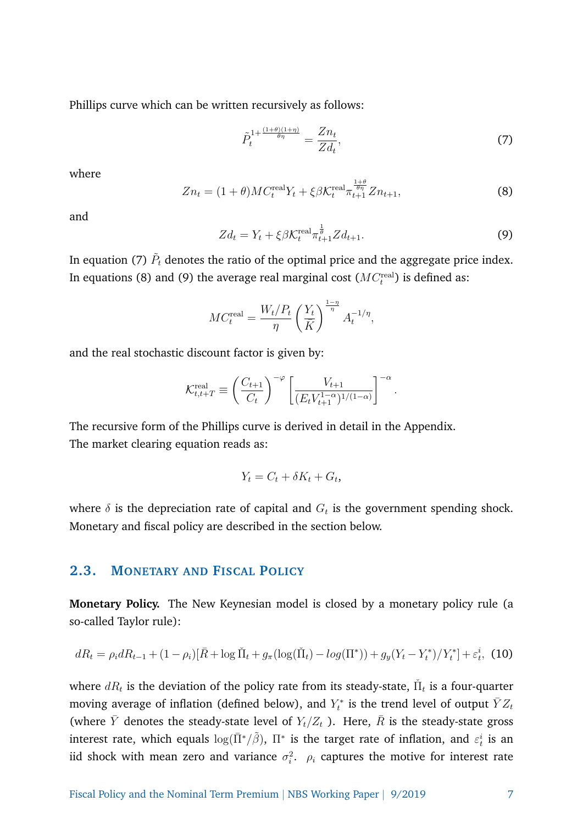Phillips curve which can be written recursively as follows:

$$
\tilde{P}_t^{1+\frac{(1+\theta)(1+\eta)}{\theta\eta}} = \frac{Zn_t}{Zd_t},\tag{7}
$$

where

$$
Zn_t = (1+\theta)MC_t^{\text{real}}Y_t + \xi\beta\mathcal{K}_t^{\text{real}}\pi_{t+1}^{\frac{1+\theta}{\theta\eta}}Zn_{t+1},\tag{8}
$$

and

$$
Zd_t = Y_t + \xi \beta \mathcal{K}_t^{\text{real}} \pi_{t+1}^{\frac{1}{\theta}} Zd_{t+1}.
$$
 (9)

In equation (7)  $\tilde{P}_t$  denotes the ratio of the optimal price and the aggregate price index. In equations (8) and (9) the average real marginal cost  $(MC_t^{\text{real}})$  is defined as:

$$
MC_t^{\text{real}} = \frac{W_t/P_t}{\eta} \left(\frac{Y_t}{\bar{K}}\right)^{\frac{1-\eta}{\eta}} A_t^{-1/\eta},
$$

and the real stochastic discount factor is given by:

$$
\mathcal{K}_{t,t+T}^{\text{real}} \equiv \left(\frac{C_{t+1}}{C_t}\right)^{-\varphi} \left[\frac{V_{t+1}}{(E_t V_{t+1}^{1-\alpha})^{1/(1-\alpha)}}\right]^{-\alpha}.
$$

The recursive form of the Phillips curve is derived in detail in the Appendix. The market clearing equation reads as:

$$
Y_t = C_t + \delta K_t + G_t,
$$

where  $\delta$  is the depreciation rate of capital and  $G_t$  is the government spending shock. Monetary and fiscal policy are described in the section below.

#### **2.3. MONETARY AND FISCAL POLICY**

**Monetary Policy.** The New Keynesian model is closed by a monetary policy rule (a so-called Taylor rule):

$$
dR_t = \rho_i dR_{t-1} + (1 - \rho_i)[\bar{R} + \log \tilde{\Pi}_t + g_\pi(\log(\tilde{\Pi}_t) - \log(\Pi^*)) + g_y(Y_t - Y_t^*)/Y_t^*] + \varepsilon_t^i, \tag{10}
$$

where  $dR_t$  is the deviation of the policy rate from its steady-state,  $\check{\Pi}_t$  is a four-quarter moving average of inflation (defined below), and  $Y_t^*$  is the trend level of output  $\bar Y Z_t$ (where Y denotes the steady-state level of  $Y_t/Z_t$  ). Here, R is the steady-state gross interest rate, which equals  $\log(\bar{\Pi}^*/\tilde{\beta}),\ \Pi^*$  is the target rate of inflation, and  $\varepsilon_t^i$  is an iid shock with mean zero and variance  $\sigma_i^2$ .  $\rho_i$  captures the motive for interest rate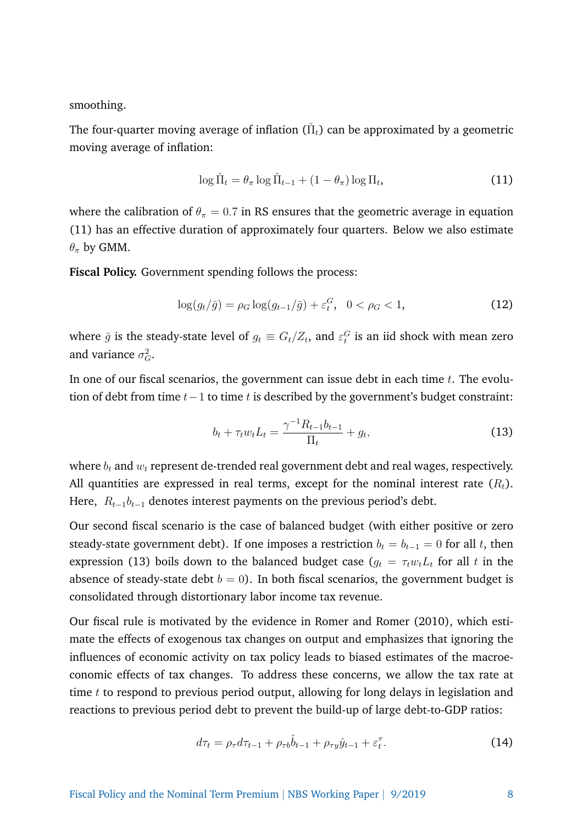smoothing.

The four-quarter moving average of inflation ( $\check{\Pi}_t$ ) can be approximated by a geometric moving average of inflation:

$$
\log \tilde{\Pi}_t = \theta_\pi \log \tilde{\Pi}_{t-1} + (1 - \theta_\pi) \log \Pi_t,\tag{11}
$$

where the calibration of  $\theta_{\pi} = 0.7$  in RS ensures that the geometric average in equation (11) has an effective duration of approximately four quarters. Below we also estimate  $\theta_{\pi}$  by GMM.

**Fiscal Policy.** Government spending follows the process:

$$
\log(g_t/\bar{g}) = \rho_G \log(g_{t-1}/\bar{g}) + \varepsilon_t^G, \ \ 0 < \rho_G < 1,\tag{12}
$$

where  $\bar{g}$  is the steady-state level of  $g_t \equiv G_t/Z_t$ , and  $\varepsilon_t^G$  is an iid shock with mean zero and variance  $\sigma_G^2$ .

In one of our fiscal scenarios, the government can issue debt in each time  $t$ . The evolution of debt from time  $t-1$  to time t is described by the government's budget constraint:

$$
b_t + \tau_t w_t L_t = \frac{\gamma^{-1} R_{t-1} b_{t-1}}{\Pi_t} + g_t,
$$
\n(13)

where  $b_t$  and  $w_t$  represent de-trended real government debt and real wages, respectively. All quantities are expressed in real terms, except for the nominal interest rate  $(R_t)$ . Here,  $R_{t-1}b_{t-1}$  denotes interest payments on the previous period's debt.

Our second fiscal scenario is the case of balanced budget (with either positive or zero steady-state government debt). If one imposes a restriction  $b_t = b_{t-1} = 0$  for all t, then expression (13) boils down to the balanced budget case  $(g_t = \tau_t w_t L_t$  for all t in the absence of steady-state debt  $b = 0$ ). In both fiscal scenarios, the government budget is consolidated through distortionary labor income tax revenue.

Our fiscal rule is motivated by the evidence in Romer and Romer (2010), which estimate the effects of exogenous tax changes on output and emphasizes that ignoring the influences of economic activity on tax policy leads to biased estimates of the macroeconomic effects of tax changes. To address these concerns, we allow the tax rate at time  $t$  to respond to previous period output, allowing for long delays in legislation and reactions to previous period debt to prevent the build-up of large debt-to-GDP ratios:

$$
d\tau_t = \rho_\tau d\tau_{t-1} + \rho_{\tau b} \hat{b}_{t-1} + \rho_{\tau y} \hat{y}_{t-1} + \varepsilon_t^{\tau}.
$$
\n(14)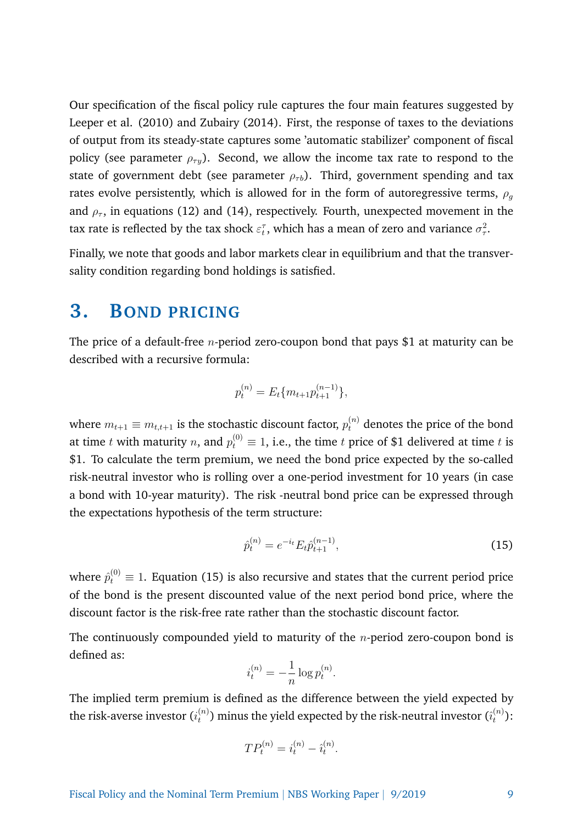Our specification of the fiscal policy rule captures the four main features suggested by Leeper et al. (2010) and Zubairy (2014). First, the response of taxes to the deviations of output from its steady-state captures some 'automatic stabilizer' component of fiscal policy (see parameter  $\rho_{\tau y}$ ). Second, we allow the income tax rate to respond to the state of government debt (see parameter  $\rho_{\tau b}$ ). Third, government spending and tax rates evolve persistently, which is allowed for in the form of autoregressive terms,  $\rho_q$ and  $\rho_{\tau}$ , in equations (12) and (14), respectively. Fourth, unexpected movement in the tax rate is reflected by the tax shock  $\varepsilon_t^{\tau}$ , which has a mean of zero and variance  $\sigma_{\tau}^2$ .

Finally, we note that goods and labor markets clear in equilibrium and that the transversality condition regarding bond holdings is satisfied.

### **3. BOND PRICING**

The price of a default-free *n*-period zero-coupon bond that pays \$1 at maturity can be described with a recursive formula:

$$
p_t^{(n)} = E_t \{ m_{t+1} p_{t+1}^{(n-1)} \},
$$

where  $m_{t+1} \equiv m_{t,t+1}$  is the stochastic discount factor,  $p_t^{(n)}$  denotes the price of the bond at time  $t$  with maturity  $n$ , and  $p_t^{(0)} \equiv 1$ , i.e., the time  $t$  price of \$1 delivered at time  $t$  is \$1. To calculate the term premium, we need the bond price expected by the so-called risk-neutral investor who is rolling over a one-period investment for 10 years (in case a bond with 10-year maturity). The risk -neutral bond price can be expressed through the expectations hypothesis of the term structure:

$$
\hat{p}_t^{(n)} = e^{-i_t} E_t \hat{p}_{t+1}^{(n-1)},\tag{15}
$$

where  $\hat{p}^{(0)}_t\equiv 1.$  Equation (15) is also recursive and states that the current period price of the bond is the present discounted value of the next period bond price, where the discount factor is the risk-free rate rather than the stochastic discount factor.

The continuously compounded yield to maturity of the  $n$ -period zero-coupon bond is defined as:

$$
i_t^{(n)} = -\frac{1}{n} \log p_t^{(n)}.
$$

The implied term premium is defined as the difference between the yield expected by the risk-averse investor  $(i^{(n)}_t)$  $\epsilon_t^{(n)}$ ) minus the yield expected by the risk-neutral investor  $(\hat{\imath}_t^{(n)})$  $\binom{n}{t}$ :

$$
TP_t^{(n)} = i_t^{(n)} - \hat{i}_t^{(n)}.
$$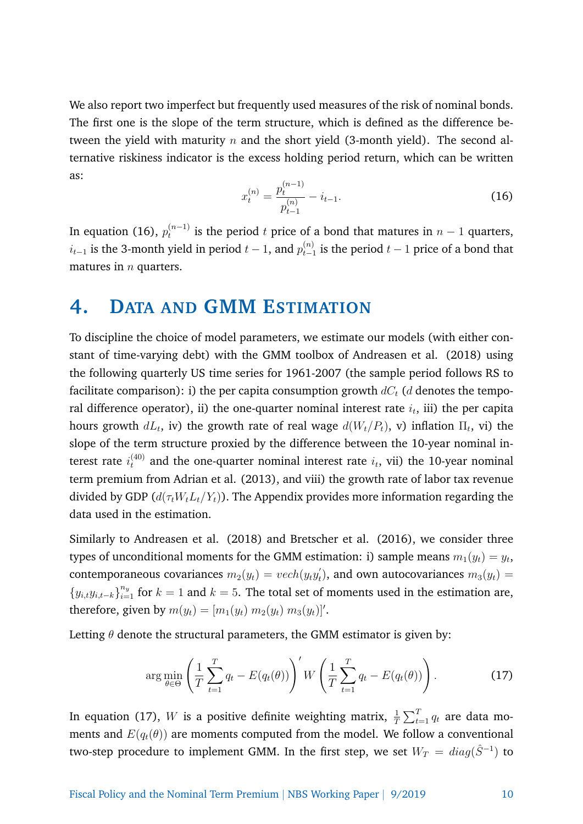We also report two imperfect but frequently used measures of the risk of nominal bonds. The first one is the slope of the term structure, which is defined as the difference between the yield with maturity  $n$  and the short yield (3-month yield). The second alternative riskiness indicator is the excess holding period return, which can be written as:

$$
x_t^{(n)} = \frac{p_t^{(n-1)}}{p_{t-1}^{(n)}} - i_{t-1}.
$$
\n(16)

In equation (16),  $p_t^{(n-1)}$  $t_t^{(n-1)}$  is the period  $t$  price of a bond that matures in  $n-1$  quarters,  $i_{t-1}$  is the 3-month yield in period  $t-1$ , and  $p_{t-1}^{(n)}$  $\sum_{t=1}^{(n)}$  is the period  $t-1$  price of a bond that matures in  $n$  quarters.

#### **4. DATA AND GMM ESTIMATION**

To discipline the choice of model parameters, we estimate our models (with either constant of time-varying debt) with the GMM toolbox of Andreasen et al. (2018) using the following quarterly US time series for 1961-2007 (the sample period follows RS to facilitate comparison): i) the per capita consumption growth  $dC_t$  (d denotes the temporal difference operator), ii) the one-quarter nominal interest rate  $i_t$ , iii) the per capita hours growth  $dL_t$ , iv) the growth rate of real wage  $d(W_t/P_t)$ , v) inflation  $\Pi_t$ , vi) the slope of the term structure proxied by the difference between the 10-year nominal interest rate  $i_t^{(40)}$  and the one-quarter nominal interest rate  $i_t$ , vii) the 10-year nominal term premium from Adrian et al. (2013), and viii) the growth rate of labor tax revenue divided by GDP ( $d(\tau_t W_t L_t/Y_t)$ ). The Appendix provides more information regarding the data used in the estimation.

Similarly to Andreasen et al. (2018) and Bretscher et al. (2016), we consider three types of unconditional moments for the GMM estimation: i) sample means  $m_1(y_t) = y_t$ , contemporaneous covariances  $m_2(y_t) = vech(y_t y_t)$  $t_{t}^{'}),$  and own autocovariances  $m_{3}(y_{t})=1$  ${y_{i,t}}y_{i,t-k}$ <sub>i=1</sub> for  $k=1$  and  $k=5$ . The total set of moments used in the estimation are, therefore, given by  $m(y_t) = [m_1(y_t) \ m_2(y_t) \ m_3(y_t)]'.$ 

Letting  $\theta$  denote the structural parameters, the GMM estimator is given by:

$$
\arg\min_{\theta \in \Theta} \left( \frac{1}{T} \sum_{t=1}^{T} q_t - E(q_t(\theta)) \right)' W \left( \frac{1}{T} \sum_{t=1}^{T} q_t - E(q_t(\theta)) \right). \tag{17}
$$

In equation (17),  $W$  is a positive definite weighting matrix,  $\frac{1}{T} \sum_{t=1}^{T} q_t$  are data moments and  $E(q_t(\theta))$  are moments computed from the model. We follow a conventional two-step procedure to implement GMM. In the first step, we set  $W_T = \textit{diag}(\hat{S}^{-1})$  to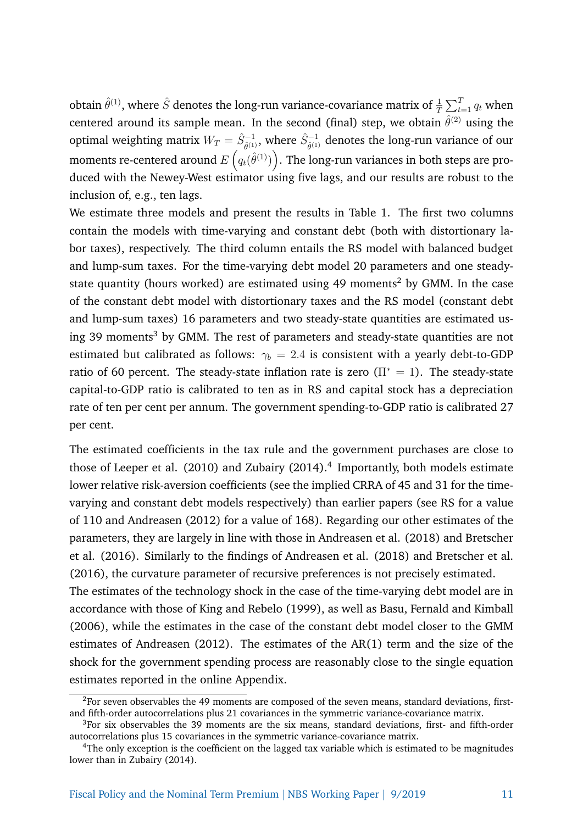obtain  $\hat{\theta}^{(1)}$ , where  $\hat{S}$  denotes the long-run variance-covariance matrix of  $\frac{1}{T}\sum_{t=1}^T q_t$  when centered around its sample mean. In the second (final) step, we obtain  $\hat{\theta}^{(2)}$  using the optimal weighting matrix  $W_T = \hat{S}_{\hat{\theta}^{(1)}}^{-1}$ , where  $\hat{S}_{\hat{\theta}^{(1)}}^{-1}$  denotes the long-run variance of our moments re-centered around  $E\left(q_{t}(\hat{\theta}^{(1)})\right)$ . The long-run variances in both steps are produced with the Newey-West estimator using five lags, and our results are robust to the inclusion of, e.g., ten lags.

We estimate three models and present the results in Table 1. The first two columns contain the models with time-varying and constant debt (both with distortionary labor taxes), respectively. The third column entails the RS model with balanced budget and lump-sum taxes. For the time-varying debt model 20 parameters and one steadystate quantity (hours worked) are estimated using 49 moments<sup>2</sup> by GMM. In the case of the constant debt model with distortionary taxes and the RS model (constant debt and lump-sum taxes) 16 parameters and two steady-state quantities are estimated using 39 moments<sup>3</sup> by GMM. The rest of parameters and steady-state quantities are not estimated but calibrated as follows:  $\gamma_b = 2.4$  is consistent with a yearly debt-to-GDP ratio of 60 percent. The steady-state inflation rate is zero  $(\Pi^* = 1)$ . The steady-state capital-to-GDP ratio is calibrated to ten as in RS and capital stock has a depreciation rate of ten per cent per annum. The government spending-to-GDP ratio is calibrated 27 per cent.

The estimated coefficients in the tax rule and the government purchases are close to those of Leeper et al. (2010) and Zubairy (2014).<sup>4</sup> Importantly, both models estimate lower relative risk-aversion coefficients (see the implied CRRA of 45 and 31 for the timevarying and constant debt models respectively) than earlier papers (see RS for a value of 110 and Andreasen (2012) for a value of 168). Regarding our other estimates of the parameters, they are largely in line with those in Andreasen et al. (2018) and Bretscher et al. (2016). Similarly to the findings of Andreasen et al. (2018) and Bretscher et al. (2016), the curvature parameter of recursive preferences is not precisely estimated. The estimates of the technology shock in the case of the time-varying debt model are in accordance with those of King and Rebelo (1999), as well as Basu, Fernald and Kimball (2006), while the estimates in the case of the constant debt model closer to the GMM estimates of Andreasen (2012). The estimates of the AR(1) term and the size of the shock for the government spending process are reasonably close to the single equation estimates reported in the online Appendix.

 ${}^{2}$ For seven observables the 49 moments are composed of the seven means, standard deviations, firstand fifth-order autocorrelations plus 21 covariances in the symmetric variance-covariance matrix.

 $3$ For six observables the 39 moments are the six means, standard deviations, first- and fifth-order autocorrelations plus 15 covariances in the symmetric variance-covariance matrix.

<sup>4</sup>The only exception is the coefficient on the lagged tax variable which is estimated to be magnitudes lower than in Zubairy (2014).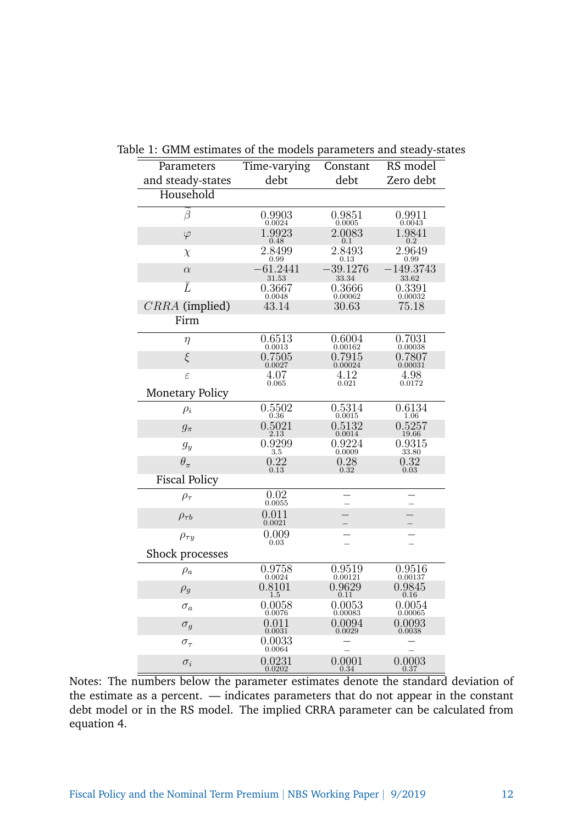| Parameters             | commates of the models parameters and steady<br>Time-varying | Constant   | RS model    |
|------------------------|--------------------------------------------------------------|------------|-------------|
| and steady-states      | debt                                                         | debt       | Zero debt   |
| Household              |                                                              |            |             |
| β                      | 0.9903                                                       | 0.9851     | 0.9911      |
|                        | 0.0024                                                       | 0.0005     | 0.0043      |
| $\varphi$              | 1.9923                                                       | 2.0083     | 1.9841      |
|                        | 0.48                                                         | 0.1        | 0.2         |
| $\chi$                 | 2.8499                                                       | 2.8493     | 2.9649      |
|                        | 0.99                                                         | 0.13       | 0.99        |
| $\alpha$               | $-61.2441$                                                   | $-39.1276$ | $-149.3743$ |
|                        | 31.53                                                        | 33.34      | 33.62       |
| $\bar{L}$              | 0.3667                                                       | 0.3666     | 0.3391      |
|                        | 0.0048                                                       | 0.00062    | 0.00032     |
| CRRA (implied)         | 43.14                                                        | 30.63      | 75.18       |
| Firm                   |                                                              |            |             |
| $\eta$                 | 0.6513                                                       | 0.6004     | 0.7031      |
|                        | 0.0013                                                       | 0.00162    | 0.00038     |
| $\xi$                  | 0.7505                                                       | 0.7915     | 0.7807      |
|                        | 0.0027                                                       | 0.00024    | 0.00031     |
| $\varepsilon$          | 4.07                                                         | 4.12       | 4.98        |
|                        | 0.065                                                        | 0.021      | 0.0172      |
| <b>Monetary Policy</b> |                                                              |            |             |
| $\rho_i$               | 0.5502                                                       | 0.5314     | 0.6134      |
|                        | 0.36                                                         | 0.0015     | 1.06        |
| $g_{\pi}$              | 0.5021                                                       | 0.5132     | 0.5257      |
|                        | 2.13                                                         | 0.0014     | 19.66       |
| $g_y$                  | 0.9299                                                       | 0.9224     | 0.9315      |
|                        | 3.5                                                          | 0.0009     | 33.80       |
| $\theta_{\pi}$         | 0.22                                                         | 0.28       | 0.32        |
|                        | 0.13                                                         | 0.32       | 0.03        |
| <b>Fiscal Policy</b>   |                                                              |            |             |
| $\rho_{\tau}$          | 0.02<br>0.0055                                               |            |             |
| $\rho_{\tau b}$        | 0.011<br>0.0021                                              |            |             |
| $\rho_{\tau y}$        | 0.009<br>0.03                                                |            |             |
| Shock processes        |                                                              |            |             |
| $\rho_a$               | 0.9758                                                       | 0.9519     | 0.9516      |
|                        | 0.0024                                                       | 0.00121    | 0.00137     |
| $\rho_g$               | 0.8101                                                       | 0.9629     | 0.9845      |
|                        | 1.5                                                          | 0.11       | 0.16        |
| $\sigma_a$             | 0.0058                                                       | 0.0053     | 0.0054      |
|                        | 0.0076                                                       | 0.00083    | 0.00065     |
| $\sigma_g$             | 0.011                                                        | 0.0094     | 0.0093      |
|                        | 0.0031                                                       | 0.0029     | 0.0038      |
| $\sigma_{\tau}$        | 0.0033<br>0.0064                                             |            |             |
| $\sigma_i$             | 0.0231                                                       | 0.0001     | 0.0003      |
|                        | 0.0202                                                       | 0.34       | 0.37        |

Table 1: GMM estimates of the models parameters and steady-states

Notes: The numbers below the parameter estimates denote the standard deviation of the estimate as a percent. — indicates parameters that do not appear in the constant debt model or in the RS model. The implied CRRA parameter can be calculated from equation 4.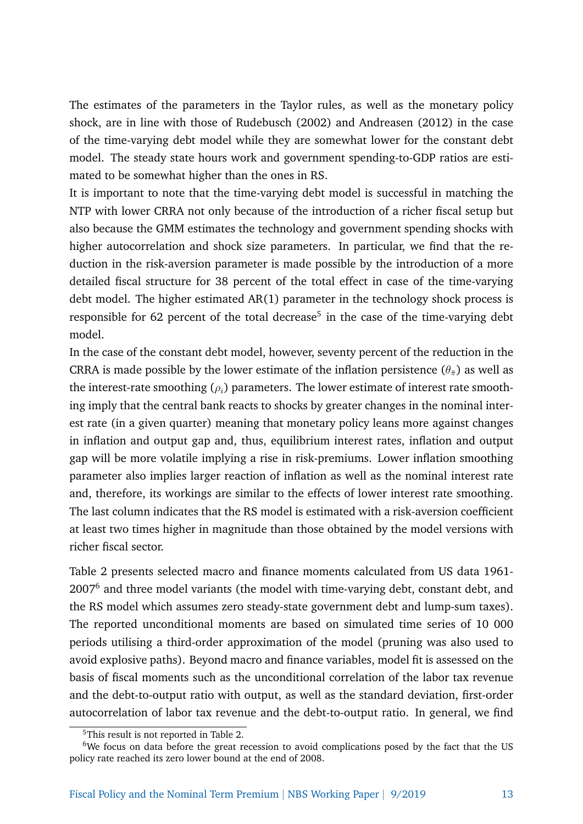The estimates of the parameters in the Taylor rules, as well as the monetary policy shock, are in line with those of Rudebusch (2002) and Andreasen (2012) in the case of the time-varying debt model while they are somewhat lower for the constant debt model. The steady state hours work and government spending-to-GDP ratios are estimated to be somewhat higher than the ones in RS.

It is important to note that the time-varying debt model is successful in matching the NTP with lower CRRA not only because of the introduction of a richer fiscal setup but also because the GMM estimates the technology and government spending shocks with higher autocorrelation and shock size parameters. In particular, we find that the reduction in the risk-aversion parameter is made possible by the introduction of a more detailed fiscal structure for 38 percent of the total effect in case of the time-varying debt model. The higher estimated AR(1) parameter in the technology shock process is responsible for 62 percent of the total decrease<sup>5</sup> in the case of the time-varying debt model.

In the case of the constant debt model, however, seventy percent of the reduction in the CRRA is made possible by the lower estimate of the inflation persistence  $(\theta_{\bar{\pi}})$  as well as the interest-rate smoothing  $(\rho_i)$  parameters. The lower estimate of interest rate smoothing imply that the central bank reacts to shocks by greater changes in the nominal interest rate (in a given quarter) meaning that monetary policy leans more against changes in inflation and output gap and, thus, equilibrium interest rates, inflation and output gap will be more volatile implying a rise in risk-premiums. Lower inflation smoothing parameter also implies larger reaction of inflation as well as the nominal interest rate and, therefore, its workings are similar to the effects of lower interest rate smoothing. The last column indicates that the RS model is estimated with a risk-aversion coefficient at least two times higher in magnitude than those obtained by the model versions with richer fiscal sector.

Table 2 presents selected macro and finance moments calculated from US data 1961- 2007<sup>6</sup> and three model variants (the model with time-varying debt, constant debt, and the RS model which assumes zero steady-state government debt and lump-sum taxes). The reported unconditional moments are based on simulated time series of 10 000 periods utilising a third-order approximation of the model (pruning was also used to avoid explosive paths). Beyond macro and finance variables, model fit is assessed on the basis of fiscal moments such as the unconditional correlation of the labor tax revenue and the debt-to-output ratio with output, as well as the standard deviation, first-order autocorrelation of labor tax revenue and the debt-to-output ratio. In general, we find

<sup>&</sup>lt;sup>5</sup>This result is not reported in Table 2.

<sup>6</sup>We focus on data before the great recession to avoid complications posed by the fact that the US policy rate reached its zero lower bound at the end of 2008.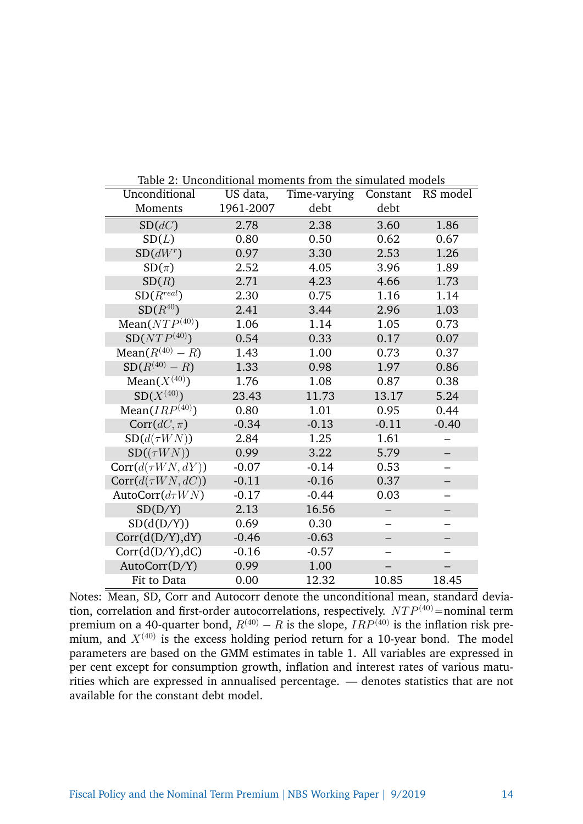|                                | Table 2: Unconditional moments from the simulated models |              |          |          |  |  |
|--------------------------------|----------------------------------------------------------|--------------|----------|----------|--|--|
| Unconditional                  | US data,                                                 | Time-varying | Constant | RS model |  |  |
| <b>Moments</b>                 | 1961-2007                                                | debt         | debt     |          |  |  |
| SD(dC)                         | 2.78                                                     | 2.38         | 3.60     | 1.86     |  |  |
| SD(L)                          | 0.80                                                     | 0.50         | 0.62     | 0.67     |  |  |
| SD(dW <sup>r</sup> )           | 0.97                                                     | 3.30         | 2.53     | 1.26     |  |  |
| $SD(\pi)$                      | 2.52                                                     | 4.05         | 3.96     | 1.89     |  |  |
| SD(R)                          | 2.71                                                     | 4.23         | 4.66     | 1.73     |  |  |
| $SD(R^{real})$                 | 2.30                                                     | 0.75         | 1.16     | 1.14     |  |  |
| $SD(R^{40})$                   | 2.41                                                     | 3.44         | 2.96     | 1.03     |  |  |
| Mean $(\overline{NTP^{(40)}})$ | 1.06                                                     | 1.14         | 1.05     | 0.73     |  |  |
| $SD(NTP^{(40)})$               | 0.54                                                     | 0.33         | 0.17     | 0.07     |  |  |
| Mean( $R^{(40)} - R$ )         | 1.43                                                     | 1.00         | 0.73     | 0.37     |  |  |
| $SD(R^{(40)} - R)$             | 1.33                                                     | 0.98         | 1.97     | 0.86     |  |  |
| $Mean(X^{(40)})$               | 1.76                                                     | 1.08         | 0.87     | 0.38     |  |  |
| $SD(X^{(40)})$                 | 23.43                                                    | 11.73        | 13.17    | 5.24     |  |  |
| Mean $(IRP^{(40)})$            | 0.80                                                     | 1.01         | 0.95     | 0.44     |  |  |
| $Corr(dC, \pi)$                | $-0.34$                                                  | $-0.13$      | $-0.11$  | $-0.40$  |  |  |
| $SD(d(\tau WN))$               | 2.84                                                     | 1.25         | 1.61     |          |  |  |
| $SD((\tau W N))$               | 0.99                                                     | 3.22         | 5.79     |          |  |  |
| $Corr(d(\tau W N, dY))$        | $-0.07$                                                  | $-0.14$      | 0.53     |          |  |  |
| $Corr(d(\tau WN, dC))$         | $-0.11$                                                  | $-0.16$      | 0.37     |          |  |  |
| AutoCorr $(d\tau W N)$         | $-0.17$                                                  | $-0.44$      | 0.03     |          |  |  |
| SD(D/Y)                        | 2.13                                                     | 16.56        |          |          |  |  |
| SD(d(D/Y))                     | 0.69                                                     | 0.30         |          |          |  |  |
| Corr(d(D/Y),dY)                | $-0.46$                                                  | $-0.63$      |          |          |  |  |
| Corr(d(D/Y),dC)                | $-0.16$                                                  | $-0.57$      |          |          |  |  |
| AutoCorr(D/Y)                  | 0.99                                                     | 1.00         |          |          |  |  |
| Fit to Data                    | 0.00                                                     | 12.32        | 10.85    | 18.45    |  |  |

Notes: Mean, SD, Corr and Autocorr denote the unconditional mean, standard deviation, correlation and first-order autocorrelations, respectively.  $NTP^{(40)}$ =nominal term premium on a 40-quarter bond,  $R^{(40)} - R$  is the slope,  $IRP^{(40)}$  is the inflation risk premium, and  $X^{(40)}$  is the excess holding period return for a 10-year bond. The model parameters are based on the GMM estimates in table 1. All variables are expressed in per cent except for consumption growth, inflation and interest rates of various maturities which are expressed in annualised percentage. — denotes statistics that are not available for the constant debt model.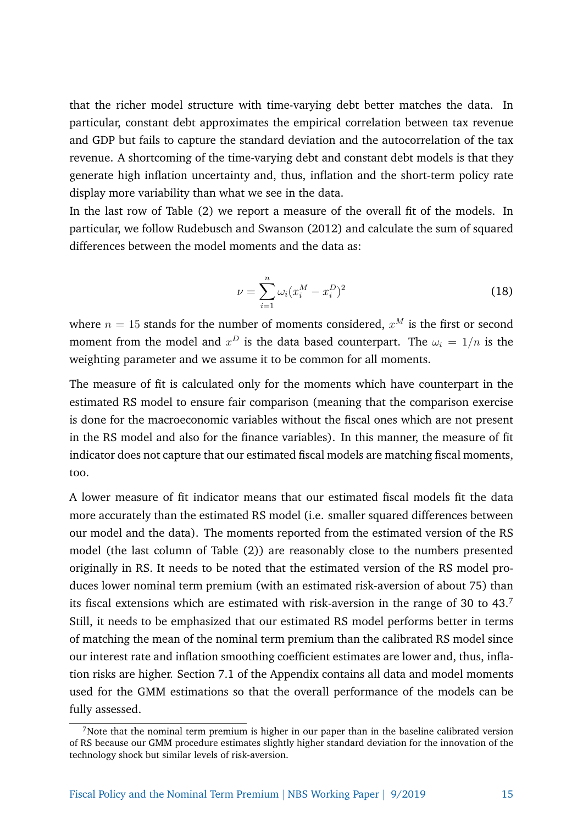that the richer model structure with time-varying debt better matches the data. In particular, constant debt approximates the empirical correlation between tax revenue and GDP but fails to capture the standard deviation and the autocorrelation of the tax revenue. A shortcoming of the time-varying debt and constant debt models is that they generate high inflation uncertainty and, thus, inflation and the short-term policy rate display more variability than what we see in the data.

In the last row of Table (2) we report a measure of the overall fit of the models. In particular, we follow Rudebusch and Swanson (2012) and calculate the sum of squared differences between the model moments and the data as:

$$
\nu = \sum_{i=1}^{n} \omega_i (x_i^M - x_i^D)^2
$$
 (18)

where  $n=15$  stands for the number of moments considered,  $x^M$  is the first or second moment from the model and  $x^D$  is the data based counterpart. The  $\omega_i = 1/n$  is the weighting parameter and we assume it to be common for all moments.

The measure of fit is calculated only for the moments which have counterpart in the estimated RS model to ensure fair comparison (meaning that the comparison exercise is done for the macroeconomic variables without the fiscal ones which are not present in the RS model and also for the finance variables). In this manner, the measure of fit indicator does not capture that our estimated fiscal models are matching fiscal moments, too.

A lower measure of fit indicator means that our estimated fiscal models fit the data more accurately than the estimated RS model (i.e. smaller squared differences between our model and the data). The moments reported from the estimated version of the RS model (the last column of Table (2)) are reasonably close to the numbers presented originally in RS. It needs to be noted that the estimated version of the RS model produces lower nominal term premium (with an estimated risk-aversion of about 75) than its fiscal extensions which are estimated with risk-aversion in the range of 30 to  $43<sup>7</sup>$ Still, it needs to be emphasized that our estimated RS model performs better in terms of matching the mean of the nominal term premium than the calibrated RS model since our interest rate and inflation smoothing coefficient estimates are lower and, thus, inflation risks are higher. Section 7.1 of the Appendix contains all data and model moments used for the GMM estimations so that the overall performance of the models can be fully assessed.

<sup>&</sup>lt;sup>7</sup>Note that the nominal term premium is higher in our paper than in the baseline calibrated version of RS because our GMM procedure estimates slightly higher standard deviation for the innovation of the technology shock but similar levels of risk-aversion.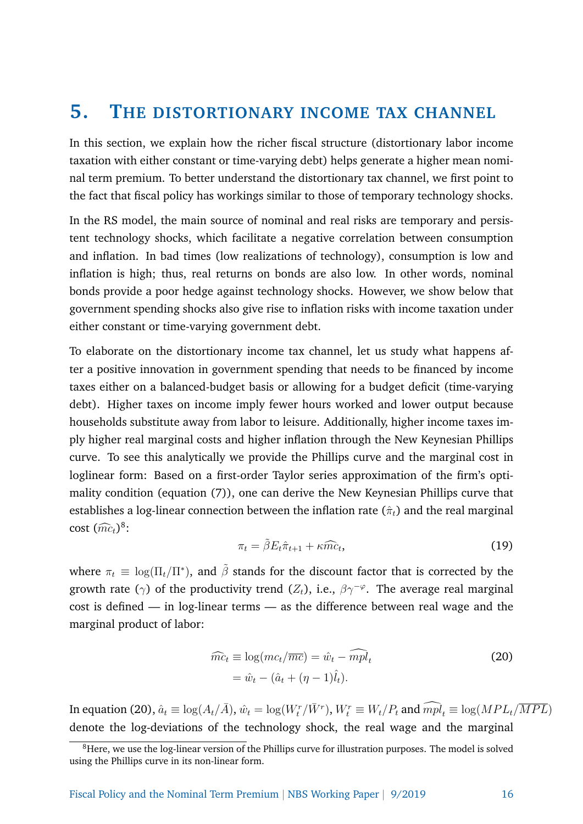#### **5. THE DISTORTIONARY INCOME TAX CHANNEL**

In this section, we explain how the richer fiscal structure (distortionary labor income taxation with either constant or time-varying debt) helps generate a higher mean nominal term premium. To better understand the distortionary tax channel, we first point to the fact that fiscal policy has workings similar to those of temporary technology shocks.

In the RS model, the main source of nominal and real risks are temporary and persistent technology shocks, which facilitate a negative correlation between consumption and inflation. In bad times (low realizations of technology), consumption is low and inflation is high; thus, real returns on bonds are also low. In other words, nominal bonds provide a poor hedge against technology shocks. However, we show below that government spending shocks also give rise to inflation risks with income taxation under either constant or time-varying government debt.

To elaborate on the distortionary income tax channel, let us study what happens after a positive innovation in government spending that needs to be financed by income taxes either on a balanced-budget basis or allowing for a budget deficit (time-varying debt). Higher taxes on income imply fewer hours worked and lower output because households substitute away from labor to leisure. Additionally, higher income taxes imply higher real marginal costs and higher inflation through the New Keynesian Phillips curve. To see this analytically we provide the Phillips curve and the marginal cost in loglinear form: Based on a first-order Taylor series approximation of the firm's optimality condition (equation (7)), one can derive the New Keynesian Phillips curve that establishes a log-linear connection between the inflation rate  $(\hat{\pi}_t)$  and the real marginal  $\cot (\widehat{mc}_t)^8$ :

$$
\pi_t = \tilde{\beta} E_t \hat{\pi}_{t+1} + \kappa \widehat{mc}_t, \tag{19}
$$

where  $\pi_t \equiv \log(\Pi_t / \Pi^*)$ , and  $\tilde{\beta}$  stands for the discount factor that is corrected by the growth rate ( $\gamma$ ) of the productivity trend ( $Z_t$ ), i.e.,  $\beta \gamma^{-\varphi}$ . The average real marginal cost is defined — in log-linear terms — as the difference between real wage and the marginal product of labor:

$$
\widehat{mc}_t \equiv \log(mc_t/\overline{mc}) = \widehat{w}_t - \widehat{mpl}_t
$$
  
=  $\widehat{w}_t - (\widehat{a}_t + (\eta - 1)\widehat{l}_t).$  (20)

In equation (20),  $\hat{a}_t \equiv \log(A_t/\bar{A}), \hat{w}_t = \log(W_t^r/\bar{W}^r), W_t^r \equiv W_t/P_t$  and  $\widehat{mpl}_t \equiv \log(MPL_t/\overline{MPI})$ denote the log-deviations of the technology shock, the real wage and the marginal

<sup>&</sup>lt;sup>8</sup>Here, we use the log-linear version of the Phillips curve for illustration purposes. The model is solved using the Phillips curve in its non-linear form.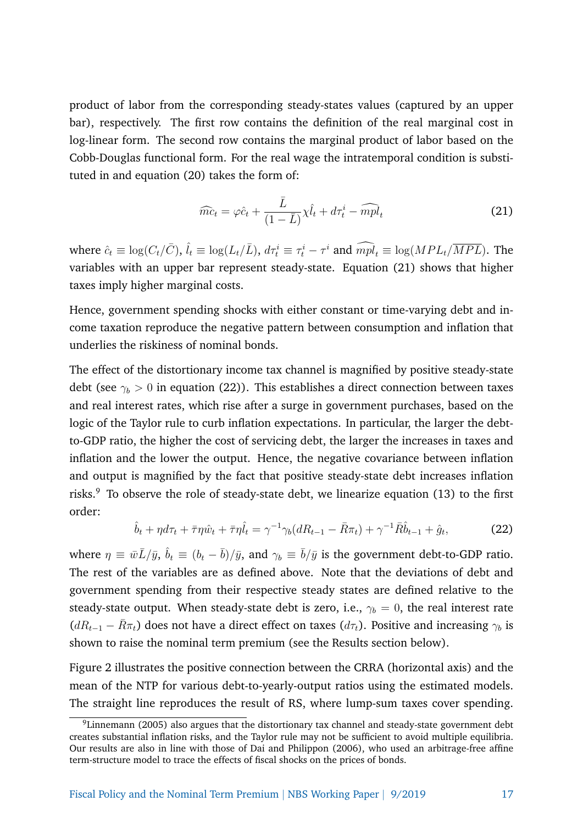product of labor from the corresponding steady-states values (captured by an upper bar), respectively. The first row contains the definition of the real marginal cost in log-linear form. The second row contains the marginal product of labor based on the Cobb-Douglas functional form. For the real wage the intratemporal condition is substituted in and equation (20) takes the form of:

$$
\widehat{mc}_t = \varphi \hat{c}_t + \frac{\bar{L}}{(1 - \bar{L})} \chi \hat{l}_t + d\tau_t^i - \widehat{mpl}_t \tag{21}
$$

where  $\hat{c}_t \equiv \log(C_t/\bar{C})$ ,  $\hat{l}_t \equiv \log(L_t/\bar{L})$ ,  $d\tau_t^i \equiv \tau_t^i - \tau^i$  and  $\widehat{mpl}_t \equiv \log(MPL_t/\overline{MPI})$ . The variables with an upper bar represent steady-state. Equation (21) shows that higher taxes imply higher marginal costs.

Hence, government spending shocks with either constant or time-varying debt and income taxation reproduce the negative pattern between consumption and inflation that underlies the riskiness of nominal bonds.

The effect of the distortionary income tax channel is magnified by positive steady-state debt (see  $\gamma_b > 0$  in equation (22)). This establishes a direct connection between taxes and real interest rates, which rise after a surge in government purchases, based on the logic of the Taylor rule to curb inflation expectations. In particular, the larger the debtto-GDP ratio, the higher the cost of servicing debt, the larger the increases in taxes and inflation and the lower the output. Hence, the negative covariance between inflation and output is magnified by the fact that positive steady-state debt increases inflation risks.<sup>9</sup> To observe the role of steady-state debt, we linearize equation  $(13)$  to the first order:

$$
\hat{b}_t + \eta d\tau_t + \bar{\tau}\eta \hat{w}_t + \bar{\tau}\eta \hat{l}_t = \gamma^{-1} \gamma_b (dR_{t-1} - \bar{R}\pi_t) + \gamma^{-1} \bar{R}\hat{b}_{t-1} + \hat{g}_t, \tag{22}
$$

where  $\eta\equiv\bar{w}\bar{L}/\bar{y},\,\hat{b}_t\equiv(b_t-\bar{b})/\bar{y},$  and  $\gamma_b\equiv\bar{b}/\bar{y}$  is the government debt-to-GDP ratio. The rest of the variables are as defined above. Note that the deviations of debt and government spending from their respective steady states are defined relative to the steady-state output. When steady-state debt is zero, i.e.,  $\gamma_b = 0$ , the real interest rate  $(dR_{t-1} - \bar{R}\pi_t)$  does not have a direct effect on taxes  $(d\tau_t)$ . Positive and increasing  $\gamma_b$  is shown to raise the nominal term premium (see the Results section below).

Figure 2 illustrates the positive connection between the CRRA (horizontal axis) and the mean of the NTP for various debt-to-yearly-output ratios using the estimated models. The straight line reproduces the result of RS, where lump-sum taxes cover spending.

<sup>9</sup>Linnemann (2005) also argues that the distortionary tax channel and steady-state government debt creates substantial inflation risks, and the Taylor rule may not be sufficient to avoid multiple equilibria. Our results are also in line with those of Dai and Philippon (2006), who used an arbitrage-free affine term-structure model to trace the effects of fiscal shocks on the prices of bonds.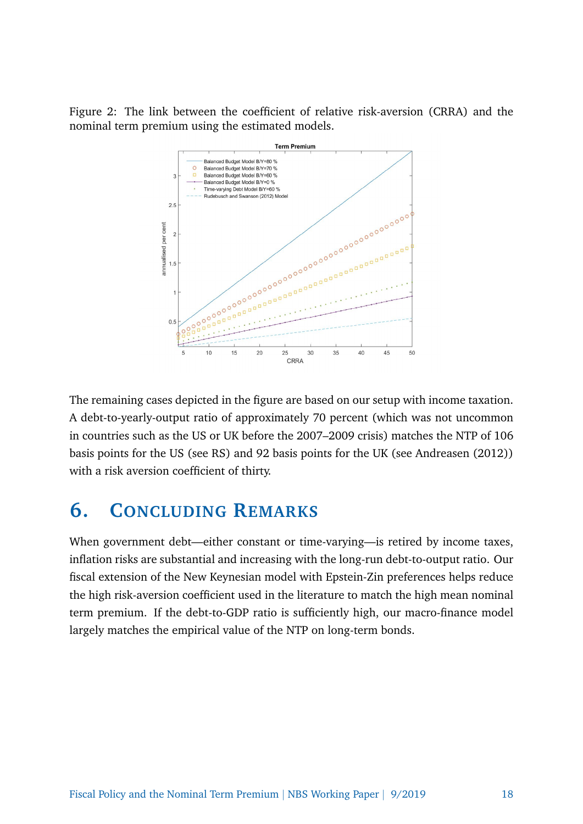Figure 2: The link between the coefficient of relative risk-aversion (CRRA) and the nominal term premium using the estimated models.



The remaining cases depicted in the figure are based on our setup with income taxation. A debt-to-yearly-output ratio of approximately 70 percent (which was not uncommon in countries such as the US or UK before the 2007–2009 crisis) matches the NTP of 106 basis points for the US (see RS) and 92 basis points for the UK (see Andreasen (2012)) with a risk aversion coefficient of thirty.

## **6. CONCLUDING REMARKS**

When government debt—either constant or time-varying—is retired by income taxes, inflation risks are substantial and increasing with the long-run debt-to-output ratio. Our fiscal extension of the New Keynesian model with Epstein-Zin preferences helps reduce the high risk-aversion coefficient used in the literature to match the high mean nominal term premium. If the debt-to-GDP ratio is sufficiently high, our macro-finance model largely matches the empirical value of the NTP on long-term bonds.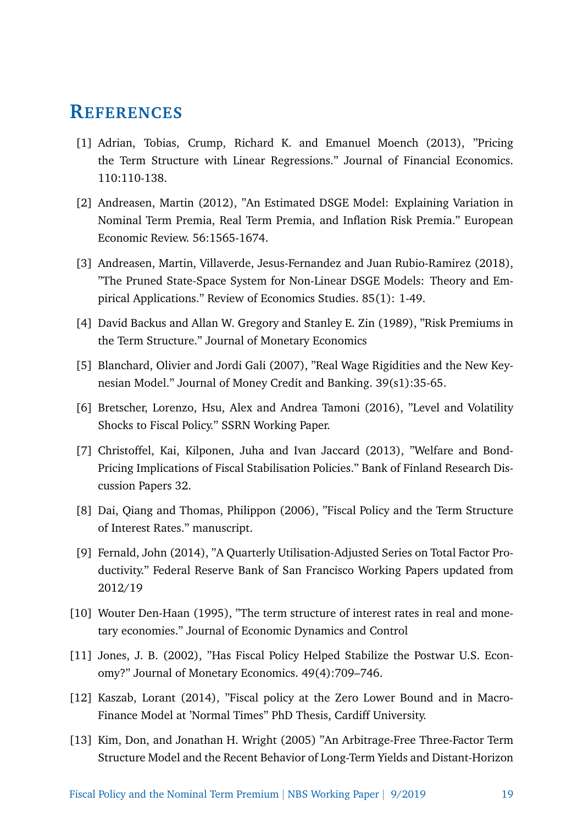#### **REFERENCES**

- [1] Adrian, Tobias, Crump, Richard K. and Emanuel Moench (2013), "Pricing the Term Structure with Linear Regressions." Journal of Financial Economics. 110:110-138.
- [2] Andreasen, Martin (2012), "An Estimated DSGE Model: Explaining Variation in Nominal Term Premia, Real Term Premia, and Inflation Risk Premia." European Economic Review. 56:1565-1674.
- [3] Andreasen, Martin, Villaverde, Jesus-Fernandez and Juan Rubio-Ramirez (2018), "The Pruned State-Space System for Non-Linear DSGE Models: Theory and Empirical Applications." Review of Economics Studies. 85(1): 1-49.
- [4] David Backus and Allan W. Gregory and Stanley E. Zin (1989), "Risk Premiums in the Term Structure." Journal of Monetary Economics
- [5] Blanchard, Olivier and Jordi Gali (2007), "Real Wage Rigidities and the New Keynesian Model." Journal of Money Credit and Banking. 39(s1):35-65.
- [6] Bretscher, Lorenzo, Hsu, Alex and Andrea Tamoni (2016), "Level and Volatility Shocks to Fiscal Policy." SSRN Working Paper.
- [7] Christoffel, Kai, Kilponen, Juha and Ivan Jaccard (2013), "Welfare and Bond-Pricing Implications of Fiscal Stabilisation Policies." Bank of Finland Research Discussion Papers 32.
- [8] Dai, Qiang and Thomas, Philippon (2006), "Fiscal Policy and the Term Structure of Interest Rates." manuscript.
- [9] Fernald, John (2014), "A Quarterly Utilisation-Adjusted Series on Total Factor Productivity." Federal Reserve Bank of San Francisco Working Papers updated from 2012/19
- [10] Wouter Den-Haan (1995), "The term structure of interest rates in real and monetary economies." Journal of Economic Dynamics and Control
- [11] Jones, J. B. (2002), "Has Fiscal Policy Helped Stabilize the Postwar U.S. Economy?" Journal of Monetary Economics. 49(4):709–746.
- [12] Kaszab, Lorant (2014), "Fiscal policy at the Zero Lower Bound and in Macro-Finance Model at 'Normal Times" PhD Thesis, Cardiff University.
- [13] Kim, Don, and Jonathan H. Wright (2005) "An Arbitrage-Free Three-Factor Term Structure Model and the Recent Behavior of Long-Term Yields and Distant-Horizon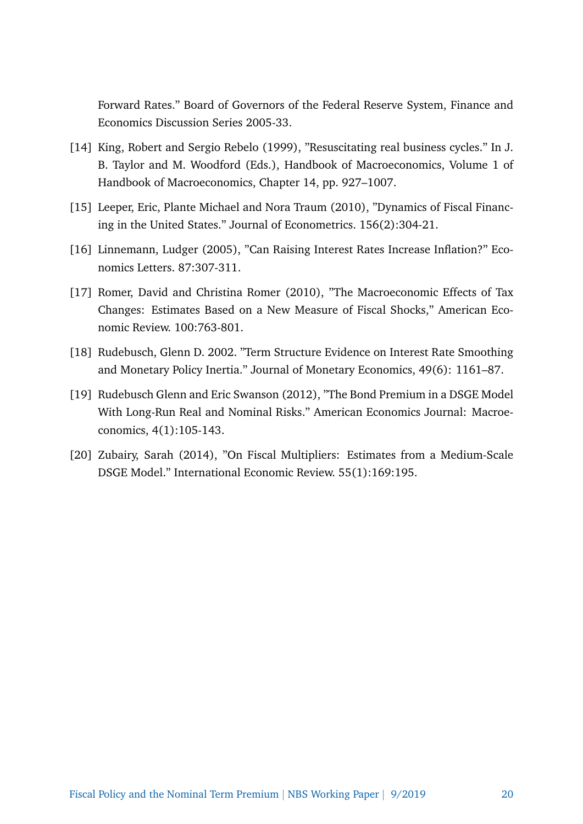Forward Rates." Board of Governors of the Federal Reserve System, Finance and Economics Discussion Series 2005-33.

- [14] King, Robert and Sergio Rebelo (1999), "Resuscitating real business cycles." In J. B. Taylor and M. Woodford (Eds.), Handbook of Macroeconomics, Volume 1 of Handbook of Macroeconomics, Chapter 14, pp. 927–1007.
- [15] Leeper, Eric, Plante Michael and Nora Traum (2010), "Dynamics of Fiscal Financing in the United States." Journal of Econometrics. 156(2):304-21.
- [16] Linnemann, Ludger (2005), "Can Raising Interest Rates Increase Inflation?" Economics Letters. 87:307-311.
- [17] Romer, David and Christina Romer (2010), "The Macroeconomic Effects of Tax Changes: Estimates Based on a New Measure of Fiscal Shocks," American Economic Review. 100:763-801.
- [18] Rudebusch, Glenn D. 2002. "Term Structure Evidence on Interest Rate Smoothing and Monetary Policy Inertia." Journal of Monetary Economics, 49(6): 1161–87.
- [19] Rudebusch Glenn and Eric Swanson (2012), "The Bond Premium in a DSGE Model With Long-Run Real and Nominal Risks." American Economics Journal: Macroeconomics, 4(1):105-143.
- [20] Zubairy, Sarah (2014), "On Fiscal Multipliers: Estimates from a Medium-Scale DSGE Model." International Economic Review. 55(1):169:195.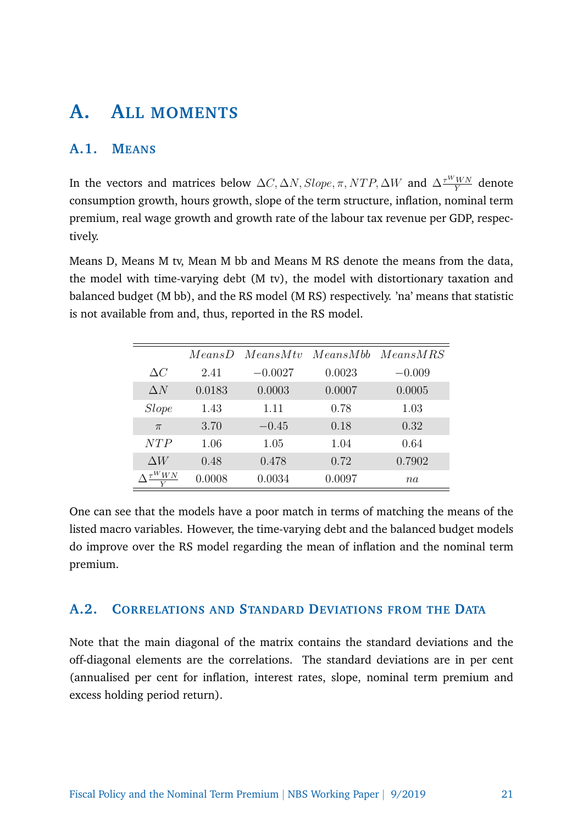## **A. ALL MOMENTS**

#### **A.1. MEANS**

In the vectors and matrices below  $\Delta C, \Delta N, Slope, \pi, NTP, \Delta W$  and  $\Delta \frac{\tau^WWN}{Y}$  denote consumption growth, hours growth, slope of the term structure, inflation, nominal term premium, real wage growth and growth rate of the labour tax revenue per GDP, respectively.

Means D, Means M tv, Mean M bb and Means M RS denote the means from the data, the model with time-varying debt (M tv), the model with distortionary taxation and balanced budget (M bb), and the RS model (M RS) respectively. 'na' means that statistic is not available from and, thus, reported in the RS model.

|              | MeansD | MeansMtv  |        | MeansMbb MeansMRS |
|--------------|--------|-----------|--------|-------------------|
| $\Delta C$   | 2.41   | $-0.0027$ | 0.0023 | $-0.009$          |
| $\Delta N$   | 0.0183 | 0.0003    | 0.0007 | 0.0005            |
| <i>Slope</i> | 1.43   | 1.11      | 0.78   | 1.03              |
| $\pi$        | 3.70   | $-0.45$   | 0.18   | 0.32              |
| NT P         | 1.06   | 1.05      | 1.04   | 0.64              |
| $\Delta W$   | 0.48   | 0.478     | 0.72   | 0.7902            |
| $\tau^WWN$   | 0.0008 | 0.0034    | 0.0097 | na                |

One can see that the models have a poor match in terms of matching the means of the listed macro variables. However, the time-varying debt and the balanced budget models do improve over the RS model regarding the mean of inflation and the nominal term premium.

#### **A.2. CORRELATIONS AND STANDARD DEVIATIONS FROM THE DATA**

Note that the main diagonal of the matrix contains the standard deviations and the off-diagonal elements are the correlations. The standard deviations are in per cent (annualised per cent for inflation, interest rates, slope, nominal term premium and excess holding period return).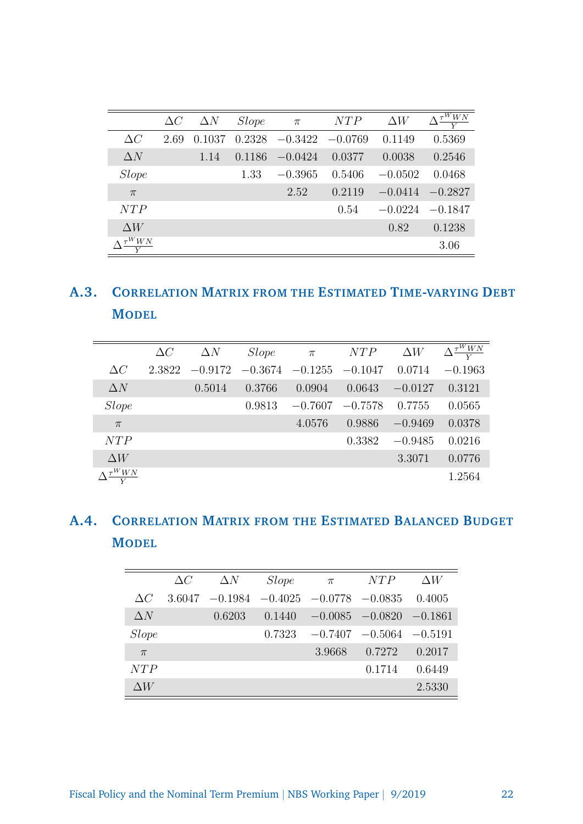|              | $\Delta C$ | $\Delta N$ | <i>Slope</i> | $\pi$     | NTP       | $\Delta W$ | $\Delta \frac{\tau^W W N}{\tau}$ |
|--------------|------------|------------|--------------|-----------|-----------|------------|----------------------------------|
| $\Delta C$   | 2.69       | 0.1037     | 0.2328       | $-0.3422$ | $-0.0769$ | 0.1149     | 0.5369                           |
| $\Delta N$   |            | 1.14       | 0.1186       | $-0.0424$ | 0.0377    | 0.0038     | 0.2546                           |
| <i>Slope</i> |            |            | 1.33         | $-0.3965$ | 0.5406    | $-0.0502$  | 0.0468                           |
| $\pi$        |            |            |              | 2.52      | 0.2119    | $-0.0414$  | $-0.2827$                        |
| NTP          |            |            |              |           | 0.54      | $-0.0224$  | $-0.1847$                        |
| $\Delta W$   |            |            |              |           |           | 0.82       | 0.1238                           |
| $\tau^{WW}$  |            |            |              |           |           |            | 3.06                             |

## **A.3. CORRELATION MATRIX FROM THE ESTIMATED TIME-VARYING DEBT MODEL**

|                                    | $\Delta C$ | $\Delta N$ | <i>Slope</i> | $\pi$                         | NTP       | $\Delta W$ | $\Delta \frac{\tau^{\bar W} \overline{W} N}$ |
|------------------------------------|------------|------------|--------------|-------------------------------|-----------|------------|----------------------------------------------|
| $\Delta C$                         | 2.3822     | $-0.9172$  |              | $-0.3674$ $-0.1255$ $-0.1047$ |           | 0.0714     | $-0.1963$                                    |
| $\Delta N$                         |            | 0.5014     | 0.3766       | 0.0904                        | 0.0643    | $-0.0127$  | 0.3121                                       |
| <i>Slope</i>                       |            |            | 0.9813       | $-0.7607$                     | $-0.7578$ | 0.7755     | 0.0565                                       |
| $\pi$                              |            |            |              | 4.0576                        | 0.9886    | $-0.9469$  | 0.0378                                       |
| NTP                                |            |            |              |                               | 0.3382    | $-0.9485$  | 0.0216                                       |
| $\Delta W$                         |            |            |              |                               |           | 3.3071     | 0.0776                                       |
| $\Lambda \, \frac{\tau^WWN}{\tau}$ |            |            |              |                               |           |            | 1.2564                                       |

### **A.4. CORRELATION MATRIX FROM THE ESTIMATED BALANCED BUDGET MODEL**

|              | $\Delta C$ | $\Delta N$ | <i>Slope</i> | $\pi$                                   | NTP                           | $\Delta W$ |
|--------------|------------|------------|--------------|-----------------------------------------|-------------------------------|------------|
| $\Delta C$   | 3.6047     |            |              | $-0.1984$ $-0.4025$ $-0.0778$ $-0.0835$ |                               | 0.4005     |
| $\Delta N$   |            | 0.6203     | 0.1440       |                                         | $-0.0085$ $-0.0820$ $-0.1861$ |            |
| <i>Slope</i> |            |            | 0.7323       |                                         | $-0.7407$ $-0.5064$ $-0.5191$ |            |
| $\pi$        |            |            |              | 3.9668                                  | 0.7272                        | 0.2017     |
| NTP          |            |            |              |                                         | 0.1714                        | 0.6449     |
| $\Delta W$   |            |            |              |                                         |                               | 2.5330     |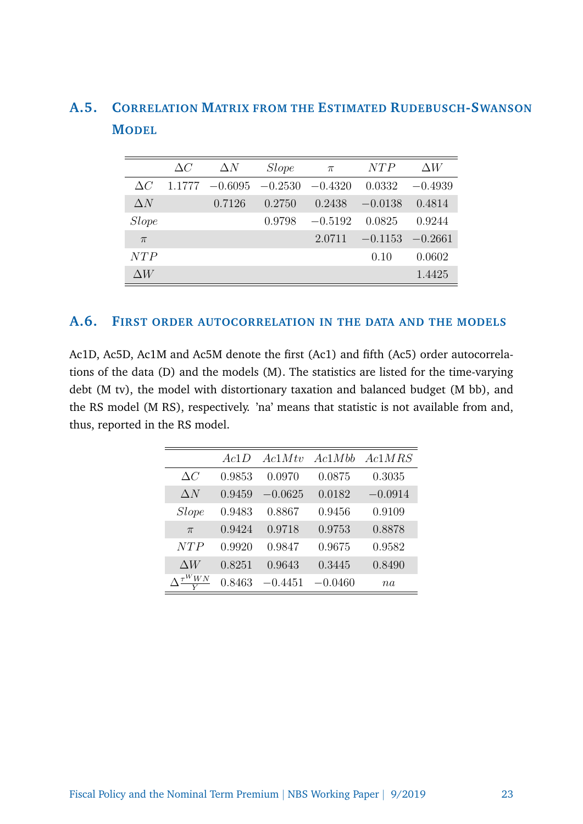|              | $\Delta C$ | $\Delta N$ | <i>Slope</i> | $\pi$     | NTP       | $\Delta W$ |
|--------------|------------|------------|--------------|-----------|-----------|------------|
| $\Delta C$   | 1.1777     | $-0.6095$  | $-0.2530$    | $-0.4320$ | 0.0332    | $-0.4939$  |
| $\Delta N$   |            | 0.7126     | 0.2750       | 0.2438    | $-0.0138$ | 0.4814     |
| <i>Slope</i> |            |            | 0.9798       | $-0.5192$ | 0.0825    | 0.9244     |
| $\pi$        |            |            |              | 2.0711    | $-0.1153$ | $-0.2661$  |
| NTP          |            |            |              |           | 0.10      | 0.0602     |
| $\wedge W$   |            |            |              |           |           | 1.4425     |

#### **A.5. CORRELATION MATRIX FROM THE ESTIMATED RUDEBUSCH-SWANSON MODEL**

#### **A.6. FIRST ORDER AUTOCORRELATION IN THE DATA AND THE MODELS**

Ac1D, Ac5D, Ac1M and Ac5M denote the first (Ac1) and fifth (Ac5) order autocorrelations of the data (D) and the models (M). The statistics are listed for the time-varying debt (M tv), the model with distortionary taxation and balanced budget (M bb), and the RS model (M RS), respectively. 'na' means that statistic is not available from and, thus, reported in the RS model.

|            | Ac1D   | AclMtv    | Ac1Mbb    | Ac1MRS    |
|------------|--------|-----------|-----------|-----------|
| $\Delta C$ | 0.9853 | 0.0970    | 0.0875    | 0.3035    |
| $\Delta N$ | 0.9459 | $-0.0625$ | 0.0182    | $-0.0914$ |
| Slope      | 0.9483 | 0.8867    | 0.9456    | 0.9109    |
| $\pi$      | 0.9424 | 0.9718    | 0.9753    | 0.8878    |
| NTP        | 0.9920 | 0.9847    | 0.9675    | 0.9582    |
| $\Delta W$ | 0.8251 | 0.9643    | 0.3445    | 0.8490    |
| WN         | 0.8463 | $-0.4451$ | $-0.0460$ | na        |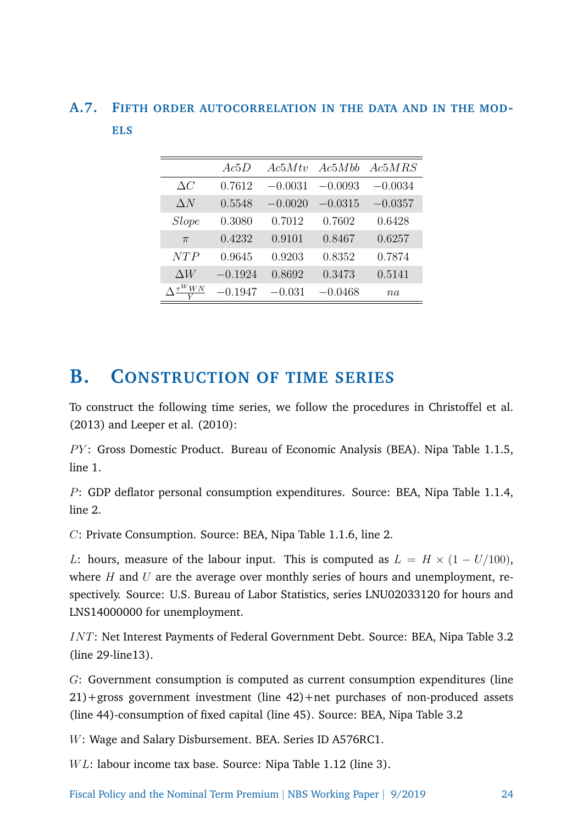#### **A.7. FIFTH ORDER AUTOCORRELATION IN THE DATA AND IN THE MOD-ELS**

|                                            | Ac5D      | Ac5Mtv    | Ac5Mbb    | Ac5MRS    |
|--------------------------------------------|-----------|-----------|-----------|-----------|
| $\Delta C$                                 | 0.7612    | $-0.0031$ | $-0.0093$ | $-0.0034$ |
| $\Delta N$                                 | 0.5548    | $-0.0020$ | $-0.0315$ | $-0.0357$ |
| Slope                                      | 0.3080    | 0.7012    | 0.7602    | 0.6428    |
| $\pi$                                      | 0.4232    | 0.9101    | 0.8467    | 0.6257    |
| NTP                                        | 0.9645    | 0.9203    | 0.8352    | 0.7874    |
| $\Delta W$                                 | $-0.1924$ | 0.8692    | 0.3473    | 0.5141    |
| $\Lambda \frac{\tau^W W N}{\sqrt{2\pi} M}$ | $-0.1947$ | $-0.031$  | $-0.0468$ | na        |

### **B. CONSTRUCTION OF TIME SERIES**

To construct the following time series, we follow the procedures in Christoffel et al. (2013) and Leeper et al. (2010):

PY: Gross Domestic Product. Bureau of Economic Analysis (BEA). Nipa Table 1.1.5, line 1.

P: GDP deflator personal consumption expenditures. Source: BEA, Nipa Table 1.1.4, line 2.

C: Private Consumption. Source: BEA, Nipa Table 1.1.6, line 2.

L: hours, measure of the labour input. This is computed as  $L = H \times (1 - U/100)$ , where  $H$  and  $U$  are the average over monthly series of hours and unemployment, respectively. Source: U.S. Bureau of Labor Statistics, series LNU02033120 for hours and LNS14000000 for unemployment.

INT: Net Interest Payments of Federal Government Debt. Source: BEA, Nipa Table 3.2 (line 29-line13).

G: Government consumption is computed as current consumption expenditures (line 21)+gross government investment (line 42)+net purchases of non-produced assets (line 44)-consumption of fixed capital (line 45). Source: BEA, Nipa Table 3.2

W: Wage and Salary Disbursement. BEA. Series ID A576RC1.

 $WL:$  labour income tax base. Source: Nipa Table 1.12 (line 3).

Fiscal Policy and the Nominal Term Premium | NBS Working Paper | 9/2019 24